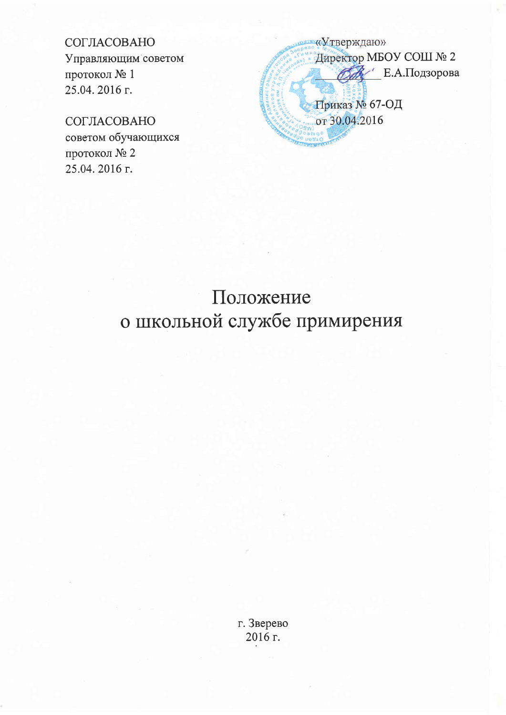## СОГЛАСОВАНО

Управляющим советом протокол № 1 25.04.2016 г.

## СОГЛАСОВАНО

советом обучающихся протокол № 2 25.04.2016 г.

«Утверждаю» Директор МБОУ СОШ № 2 **ОА** Е.А.Подзорова Приказ № 67-ОД от 30.04.2016

## Положение о школьной службе примирения

г. Зверево 2016 г.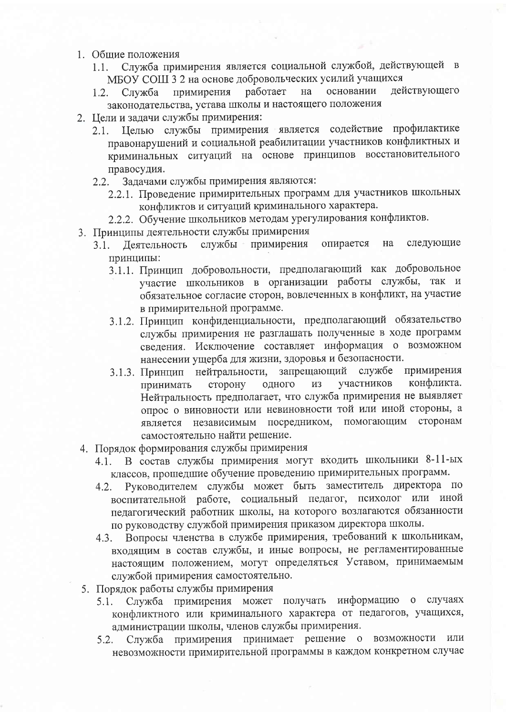- 1. Общие положения
	- Служба примирения является социальной службой, действующей в  $1.1.$ МБОУ СОШ 3 2 на основе добровольческих усилий учащихся
	- лействующего на основании Служба примирения работает  $1.2.$ законодательства, устава школы и настоящего положения
- 2. Цели и задачи службы примирения:
	- 2.1. Целью службы примирения является содействие профилактике правонарушений и социальной реабилитации участников конфликтных и криминальных ситуаций на основе принципов восстановительного правосудия.
	- 2.2. Задачами службы примирения являются:
		- 2.2.1. Проведение примирительных программ для участников школьных конфликтов и ситуаций криминального характера.
		- 2.2.2. Обучение школьников методам урегулирования конфликтов.
- 3. Принципы деятельности службы примирения
	- примирения опирается на следующие службы -3.1. Деятельность принципы:
		- 3.1.1. Принцип добровольности, предполагающий как добровольное участие школьников в организации работы службы, так и обязательное согласие сторон, вовлеченных в конфликт, на участие в примирительной программе.
		- 3.1.2. Принцип конфиденциальности, предполагающий обязательство службы примирения не разглашать полученные в ходе программ сведения. Исключение составляет информация о возможном нанесении ущерба для жизни, здоровья и безопасности.
		- 3.1.3. Принцип нейтральности, запрещающий службе примирения конфликта. участников сторону одного **H3** принимать Нейтральность предполагает, что служба примирения не выявляет опрос о виновности или невиновности той или иной стороны, а является независимым посредником, помогающим сторонам самостоятельно найти решение.
- 4. Порядок формирования службы примирения
	- В состав службы примирения могут входить школьники 8-11-ых  $4.1.$ классов, прошедшие обучение проведению примирительных программ.
	- Руководителем службы может быть заместитель директора по  $4.2.$ воспитательной работе, социальный педагог, психолог или иной педагогический работник школы, на которого возлагаются обязанности по руководству службой примирения приказом директора школы.
	- Вопросы членства в службе примирения, требований к школьникам,  $4.3.$ входящим в состав службы, и иные вопросы, не регламентированные настоящим положением, могут определяться Уставом, принимаемым службой примирения самостоятельно.
- 5. Порядок работы службы примирения
	- 5.1. Служба примирения может получать информацию о случаях конфликтного или криминального характера от педагогов, учащихся, администрации школы, членов службы примирения.
	- Служба примирения принимает решение о возможности или  $5.2.$ невозможности примирительной программы в каждом конкретном случае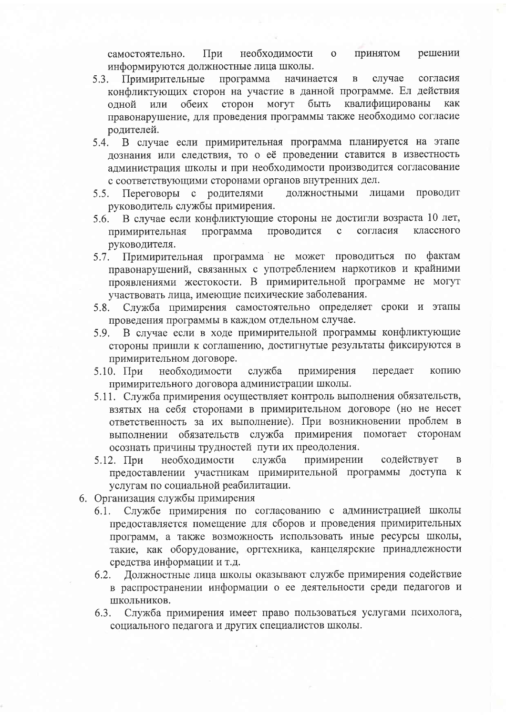При необходимости Принятом решении  $\mathbf{o}$ самостоятельно. информируются должностные лица школы.

- согласия 5.3. Примирительные программа начинается случае  $\overline{B}$ конфликтующих сторон на участие в данной программе. Ел действия квалифицированы или обеих сторон могут быть одной как правонарушение, для проведения программы также необходимо согласие родителей.
- 5.4. В случае если примирительная программа планируется на этапе лознания или следствия, то о её проведении ставится в известность администрация школы и при необходимости производится согласование с соответствующими сторонами органов внутренних дел.
- должностными Переговоры с родителями лицами Проводит  $5.5.$ руководитель службы примирения.
- 5.6. В случае если конфликтующие стороны не достигли возраста 10 лет, программа проводится согласия классного  $\mathbf{c}$ примирительная руководителя.
- 5.7. Примирительная программа не может проводиться по фактам правонарушений, связанных с употреблением наркотиков и крайними проявлениями жестокости. В примирительной программе не могут участвовать лица, имеющие психические заболевания.
- Служба примирения самостоятельно определяет сроки и этапы 5.8. проведения программы в каждом отдельном случае.
- 5.9. В случае если в ходе примирительной программы конфликтующие стороны пришли к соглашению, достигнутые результаты фиксируются в примирительном договоре.
- $5.10.$  При необходимости служба примирения передает копию примирительного договора администрации школы.
- 5.11. Служба примирения осуществляет контроль выполнения обязательств, взятых на себя сторонами в примирительном договоре (но не несет ответственность за их выполнение). При возникновении проблем в выполнении обязательств служба примирения помогает сторонам осознать причины трудностей пути их преодоления.
- необходимости служба примирении содействует 5.12. При  $\overline{B}$ предоставлении участникам примирительной программы доступа к услугам по социальной реабилитации.
- 6. Организация службы примирения
	- Службе примирения по согласованию с администрацией школы 6.1. предоставляется помещение для сборов и проведения примирительных программ, а также возможность использовать иные ресурсы школы, такие, как оборудование, оргтехника, канцелярские принадлежности средства информации и т.д.
	- 6.2. Должностные лица школы оказывают службе примирения содействие в распространении информации о ее деятельности среди педагогов и ШКОЛЬНИКОВ.
	- Служба примирения имеет право пользоваться услугами психолога, 6.3. социального педагога и других специалистов школы.